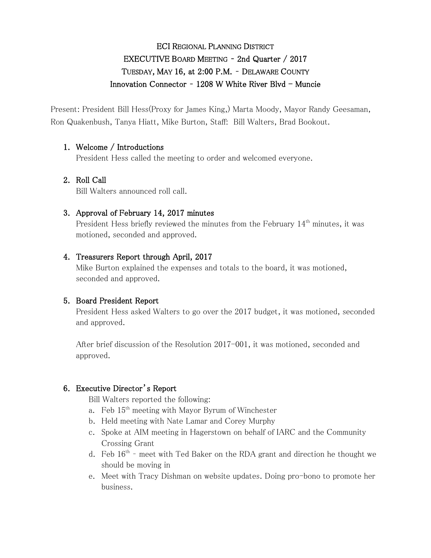# ECI REGIONAL PLANNING DISTRICT EXECUTIVE BOARD MEETING – 2nd Quarter / 2017 TUESDAY, MAY 16, at 2:00 P.M. – DELAWARE COUNTY Innovation Connector -  $1208$  W White River Blvd - Muncie

Present: President Bill Hess(Proxy for James King,) Marta Moody, Mayor Randy Geesaman, Ron Quakenbush, Tanya Hiatt, Mike Burton, Staff: Bill Walters, Brad Bookout.

# 1. Welcome / Introductions

President Hess called the meeting to order and welcomed everyone.

# 2. Roll Call

Bill Walters announced roll call.

# 3. Approval of February 14, 2017 minutes

President Hess briefly reviewed the minutes from the February 14<sup>th</sup> minutes, it was motioned, seconded and approved.

# 4. Treasurers Report through April, 2017

Mike Burton explained the expenses and totals to the board, it was motioned, seconded and approved.

# 5. Board President Report

President Hess asked Walters to go over the 2017 budget, it was motioned, seconded and approved.

After brief discussion of the Resolution 2017-001, it was motioned, seconded and approved.

# 6. Executive Director's Report

Bill Walters reported the following:

- a. Feb  $15<sup>th</sup>$  meeting with Mayor Byrum of Winchester
- b. Held meeting with Nate Lamar and Corey Murphy
- c. Spoke at AIM meeting in Hagerstown on behalf of IARC and the Community Crossing Grant
- d. Feb  $16<sup>th</sup>$  meet with Ted Baker on the RDA grant and direction he thought we should be moving in
- e. Meet with Tracy Dishman on website updates. Doing pro-bono to promote her business.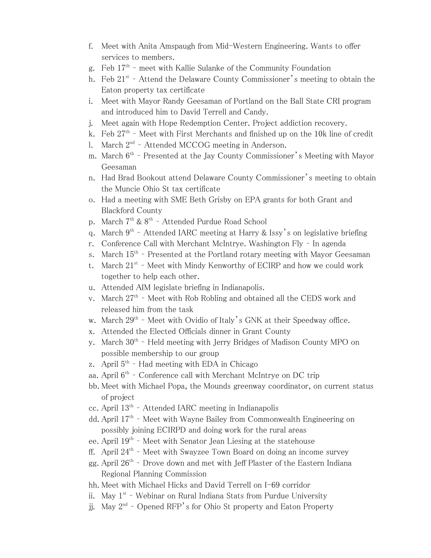- f. Meet with Anita Amspaugh from Mid-Western Engineering. Wants to offer services to members.
- g. Feb 17<sup>th</sup> meet with Kallie Sulanke of the Community Foundation
- h. Feb  $21^{st}$  Attend the Delaware County Commissioner's meeting to obtain the Eaton property tax certificate
- i. Meet with Mayor Randy Geesaman of Portland on the Ball State CRI program and introduced him to David Terrell and Candy.
- j. Meet again with Hope Redemption Center. Project addiction recovery.
- k. Feb 27<sup>th</sup> Meet with First Merchants and finished up on the 10k line of credit
- l. March 2<sup>nd</sup> Attended MCCOG meeting in Anderson.
- m. March  $6^{\text{th}}$  Presented at the Jay County Commissioner's Meeting with Mayor Geesaman
- n. Had Brad Bookout attend Delaware County Commissioner's meeting to obtain the Muncie Ohio St tax certificate
- o. Had a meeting with SME Beth Grisby on EPA grants for both Grant and Blackford County
- p. March 7<sup>th</sup> & 8<sup>th</sup> Attended Purdue Road School
- q. March  $9^{th}$  Attended IARC meeting at Harry & Issy's on legislative briefing
- r. Conference Call with Merchant McIntrye. Washington Fly In agenda
- s. March 15<sup>th</sup> Presented at the Portland rotary meeting with Mayor Geesaman
- t. March  $21^{st}$  Meet with Mindy Kenworthy of ECIRP and how we could work together to help each other.
- u. Attended AIM legislate briefing in Indianapolis.
- v. March 27<sup>th</sup> Meet with Rob Robling and obtained all the CEDS work and released him from the task
- w. March 29<sup>th</sup> Meet with Ovidio of Italy's GNK at their Speedway office.
- x. Attended the Elected Officials dinner in Grant County
- y. March 30<sup>th</sup> Held meeting with Jerry Bridges of Madison County MPO on possible membership to our group
- z. April 5<sup>th</sup> Had meeting with EDA in Chicago
- aa. April 6<sup>th</sup> Conference call with Merchant McIntrye on DC trip
- bb. Meet with Michael Popa, the Mounds greenway coordinator, on current status of project
- cc. April 13th Attended IARC meeting in Indianapolis
- dd. April 17<sup>th</sup> Meet with Wayne Bailey from Commonwealth Engineering on possibly joining ECIRPD and doing work for the rural areas
- ee. April 19<sup>th</sup> Meet with Senator Jean Liesing at the statehouse
- ff. April 24<sup>th</sup> Meet with Swayzee Town Board on doing an income survey
- gg. April  $26^{\text{th}}$  Drove down and met with Jeff Plaster of the Eastern Indiana Regional Planning Commission
- hh. Meet with Michael Hicks and David Terrell on I-69 corridor
- ii. May 1<sup>st</sup> Webinar on Rural Indiana Stats from Purdue University
- jj. May  $2^{\text{nd}}$  Opened RFP's for Ohio St property and Eaton Property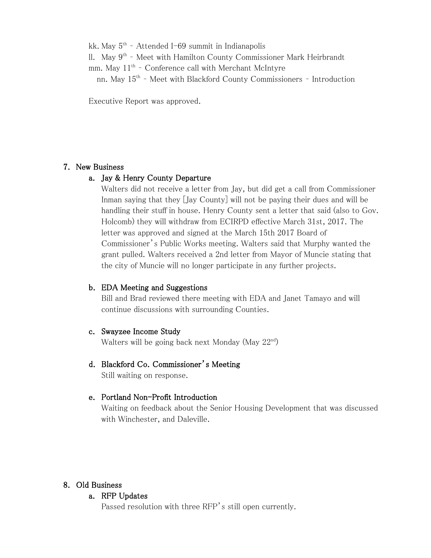kk. May 5<sup>th</sup> - Attended I-69 summit in Indianapolis ll. May 9<sup>th</sup> - Meet with Hamilton County Commissioner Mark Heirbrandt mm. May 11<sup>th</sup> - Conference call with Merchant McIntyre nn. May 15<sup>th</sup> - Meet with Blackford County Commissioners - Introduction

Executive Report was approved.

### 7. New Business

### a. Jay & Henry County Departure

Walters did not receive a letter from Jay, but did get a call from Commissioner Inman saying that they [Jay County] will not be paying their dues and will be handling their stuff in house. Henry County sent a letter that said (also to Gov. Holcomb) they will withdraw from ECIRPD effective March 31st, 2017. The letter was approved and signed at the March 15th 2017 Board of Commissioner's Public Works meeting. Walters said that Murphy wanted the grant pulled. Walters received a 2nd letter from Mayor of Muncie stating that the city of Muncie will no longer participate in any further projects.

# b. EDA Meeting and Suggestions

Bill and Brad reviewed there meeting with EDA and Janet Tamayo and will continue discussions with surrounding Counties.

#### c. Swayzee Income Study

Walters will be going back next Monday (May 22nd)

# d. Blackford Co. Commissioner's Meeting

Still waiting on response.

#### e. Portland Non-Profit Introduction

Waiting on feedback about the Senior Housing Development that was discussed with Winchester, and Daleville.

# 8. Old Business

#### a. RFP Updates

Passed resolution with three RFP's still open currently.